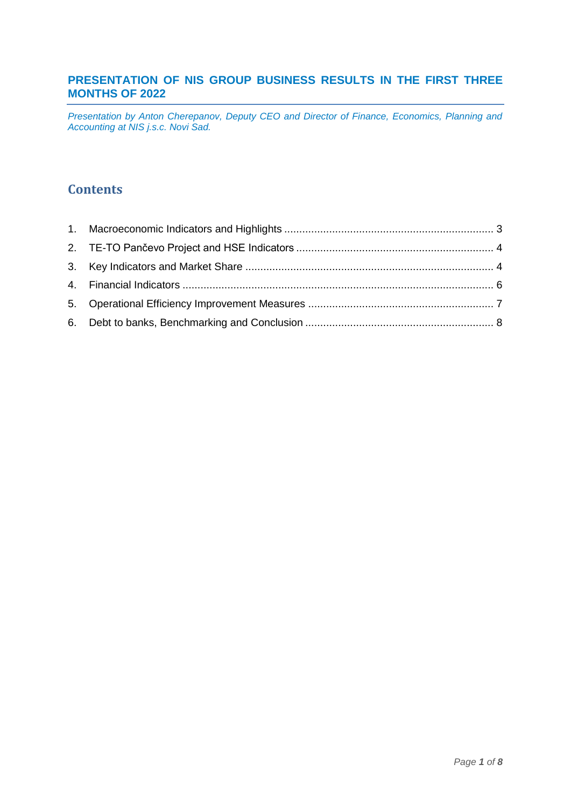# **PRESENTATION OF NIS GROUP BUSINESS RESULTS IN THE FIRST THREE MONTHS OF 2022**

*Presentation by Anton Cherepanov, Deputy CEO and Director of Finance, Economics, Planning and Accounting at NIS j.s.c. Novi Sad.*

# **Contents**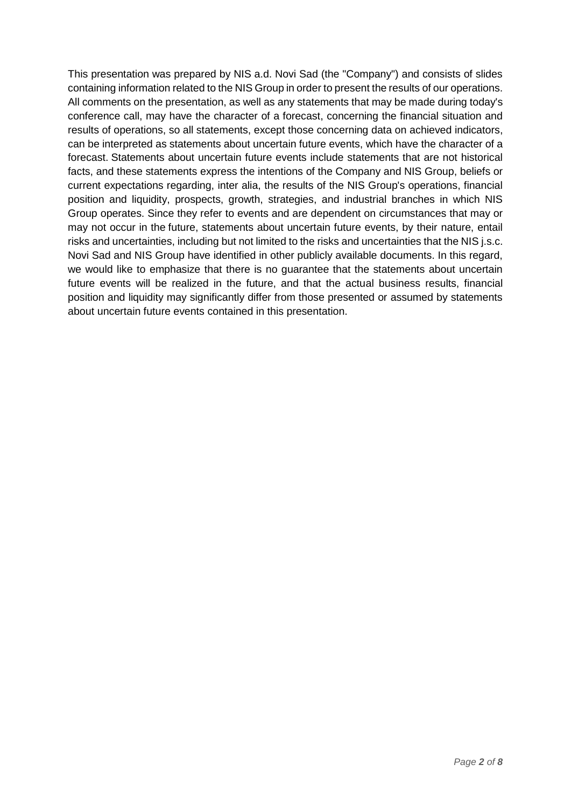This presentation was prepared by NIS a.d. Novi Sad (the "Company") and consists of slides containing information related to the NIS Group in order to present the results of our operations. All comments on the presentation, as well as any statements that may be made during today's conference call, may have the character of a forecast, concerning the financial situation and results of operations, so all statements, except those concerning data on achieved indicators, can be interpreted as statements about uncertain future events, which have the character of a forecast. Statements about uncertain future events include statements that are not historical facts, and these statements express the intentions of the Company and NIS Group, beliefs or current expectations regarding, inter alia, the results of the NIS Group's operations, financial position and liquidity, prospects, growth, strategies, and industrial branches in which NIS Group operates. Since they refer to events and are dependent on circumstances that may or may not occur in the future, statements about uncertain future events, by their nature, entail risks and uncertainties, including but not limited to the risks and uncertainties that the NIS j.s.c. Novi Sad and NIS Group have identified in other publicly available documents. In this regard, we would like to emphasize that there is no guarantee that the statements about uncertain future events will be realized in the future, and that the actual business results, financial position and liquidity may significantly differ from those presented or assumed by statements about uncertain future events contained in this presentation.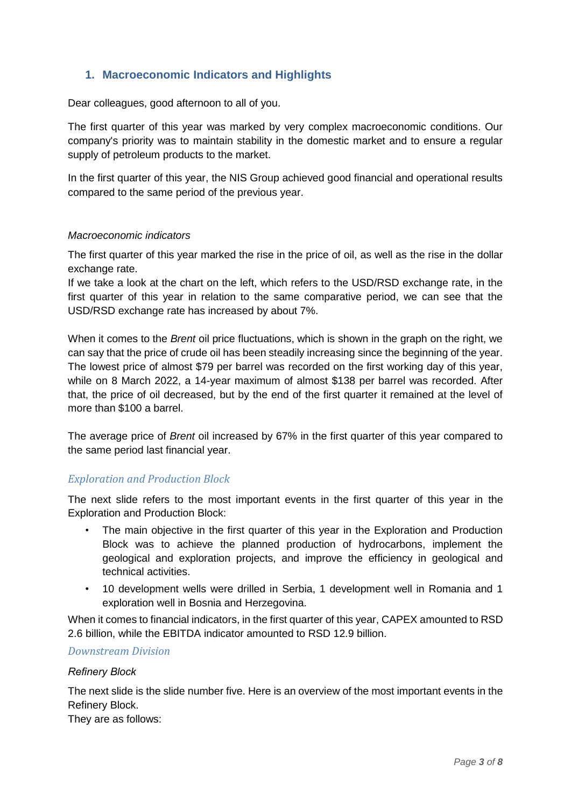# <span id="page-2-0"></span>**1. Macroeconomic Indicators and Highlights**

Dear colleagues, good afternoon to all of you.

The first quarter of this year was marked by very complex macroeconomic conditions. Our company's priority was to maintain stability in the domestic market and to ensure a regular supply of petroleum products to the market.

In the first quarter of this year, the NIS Group achieved good financial and operational results compared to the same period of the previous year.

#### *Macroeconomic indicators*

The first quarter of this year marked the rise in the price of oil, as well as the rise in the dollar exchange rate.

If we take a look at the chart on the left, which refers to the USD/RSD exchange rate, in the first quarter of this year in relation to the same comparative period, we can see that the USD/RSD exchange rate has increased by about 7%.

When it comes to the *Brent* oil price fluctuations, which is shown in the graph on the right, we can say that the price of crude oil has been steadily increasing since the beginning of the year. The lowest price of almost \$79 per barrel was recorded on the first working day of this year, while on 8 March 2022, a 14-year maximum of almost \$138 per barrel was recorded. After that, the price of oil decreased, but by the end of the first quarter it remained at the level of more than \$100 a barrel.

The average price of *Brent* oil increased by 67% in the first quarter of this year compared to the same period last financial year.

# *Exploration and Production Block*

The next slide refers to the most important events in the first quarter of this year in the Exploration and Production Block:

- The main objective in the first quarter of this year in the Exploration and Production Block was to achieve the planned production of hydrocarbons, implement the geological and exploration projects, and improve the efficiency in geological and technical activities.
- 10 development wells were drilled in Serbia, 1 development well in Romania and 1 exploration well in Bosnia and Herzegovina.

When it comes to financial indicators, in the first quarter of this year, CAPEX amounted to RSD 2.6 billion, while the EBITDA indicator amounted to RSD 12.9 billion.

### *Downstream Division*

#### *Refinery Block*

The next slide is the slide number five. Here is an overview of the most important events in the Refinery Block.

They are as follows: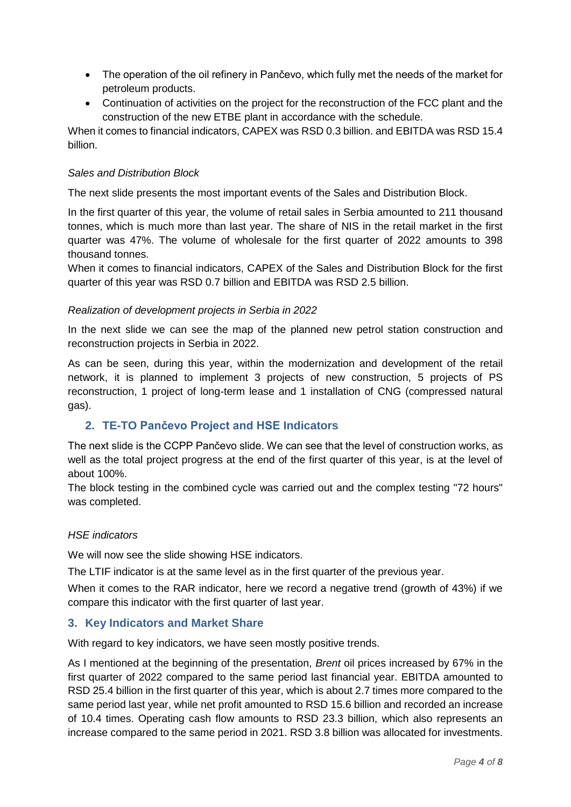- The operation of the oil refinery in Pančevo, which fully met the needs of the market for petroleum products.
- Continuation of activities on the project for the reconstruction of the FCC plant and the construction of the new ETBE plant in accordance with the schedule.

When it comes to financial indicators, CAPEX was RSD 0.3 billion. and EBITDA was RSD 15.4 billion.

### *Sales and Distribution Block*

The next slide presents the most important events of the Sales and Distribution Block.

In the first quarter of this year, the volume of retail sales in Serbia amounted to 211 thousand tonnes, which is much more than last year. The share of NIS in the retail market in the first quarter was 47%. The volume of wholesale for the first quarter of 2022 amounts to 398 thousand tonnes.

When it comes to financial indicators, CAPEX of the Sales and Distribution Block for the first quarter of this year was RSD 0.7 billion and EBITDA was RSD 2.5 billion.

## *Realization of development projects in Serbia in 2022*

In the next slide we can see the map of the planned new petrol station construction and reconstruction projects in Serbia in 2022.

As can be seen, during this year, within the modernization and development of the retail network, it is planned to implement 3 projects of new construction, 5 projects of PS reconstruction, 1 project of long-term lease and 1 installation of CNG (compressed natural gas).

# <span id="page-3-0"></span>**2. TE-TO Pančevo Project and HSE Indicators**

The next slide is the CCPP Pančevo slide. We can see that the level of construction works, as well as the total project progress at the end of the first quarter of this year, is at the level of about 100%.

The block testing in the combined cycle was carried out and the complex testing "72 hours" was completed.

# *HSE indicators*

We will now see the slide showing HSE indicators.

The LTIF indicator is at the same level as in the first quarter of the previous year.

When it comes to the RAR indicator, here we record a negative trend (growth of 43%) if we compare this indicator with the first quarter of last year.

# <span id="page-3-1"></span>**3. Key Indicators and Market Share**

With regard to key indicators, we have seen mostly positive trends.

As I mentioned at the beginning of the presentation, *Brent* oil prices increased by 67% in the first quarter of 2022 compared to the same period last financial year. EBITDA amounted to RSD 25.4 billion in the first quarter of this year, which is about 2.7 times more compared to the same period last year, while net profit amounted to RSD 15.6 billion and recorded an increase of 10.4 times. Operating cash flow amounts to RSD 23.3 billion, which also represents an increase compared to the same period in 2021. RSD 3.8 billion was allocated for investments.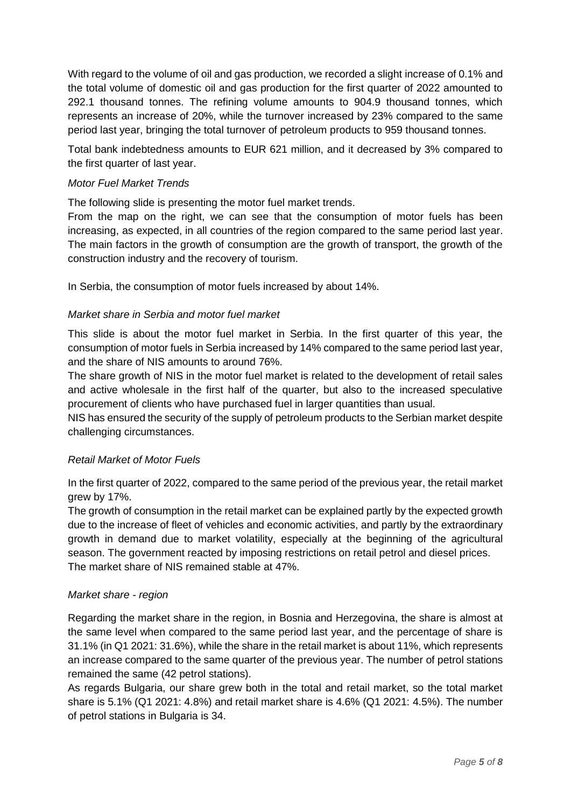With regard to the volume of oil and gas production, we recorded a slight increase of 0.1% and the total volume of domestic oil and gas production for the first quarter of 2022 amounted to 292.1 thousand tonnes. The refining volume amounts to 904.9 thousand tonnes, which represents an increase of 20%, while the turnover increased by 23% compared to the same period last year, bringing the total turnover of petroleum products to 959 thousand tonnes.

Total bank indebtedness amounts to EUR 621 million, and it decreased by 3% compared to the first quarter of last year.

## *Motor Fuel Market Trends*

The following slide is presenting the motor fuel market trends.

From the map on the right, we can see that the consumption of motor fuels has been increasing, as expected, in all countries of the region compared to the same period last year. The main factors in the growth of consumption are the growth of transport, the growth of the construction industry and the recovery of tourism.

In Serbia, the consumption of motor fuels increased by about 14%.

## *Market share in Serbia and motor fuel market*

This slide is about the motor fuel market in Serbia. In the first quarter of this year, the consumption of motor fuels in Serbia increased by 14% compared to the same period last year, and the share of NIS amounts to around 76%.

The share growth of NIS in the motor fuel market is related to the development of retail sales and active wholesale in the first half of the quarter, but also to the increased speculative procurement of clients who have purchased fuel in larger quantities than usual.

NIS has ensured the security of the supply of petroleum products to the Serbian market despite challenging circumstances.

### *Retail Market of Motor Fuels*

In the first quarter of 2022, compared to the same period of the previous year, the retail market grew by 17%.

The growth of consumption in the retail market can be explained partly by the expected growth due to the increase of fleet of vehicles and economic activities, and partly by the extraordinary growth in demand due to market volatility, especially at the beginning of the agricultural season. The government reacted by imposing restrictions on retail petrol and diesel prices. The market share of NIS remained stable at 47%.

### *Market share - region*

Regarding the market share in the region, in Bosnia and Herzegovina, the share is almost at the same level when compared to the same period last year, and the percentage of share is 31.1% (in Q1 2021: 31.6%), while the share in the retail market is about 11%, which represents an increase compared to the same quarter of the previous year. The number of petrol stations remained the same (42 petrol stations).

As regards Bulgaria, our share grew both in the total and retail market, so the total market share is 5.1% (Q1 2021: 4.8%) and retail market share is 4.6% (Q1 2021: 4.5%). The number of petrol stations in Bulgaria is 34.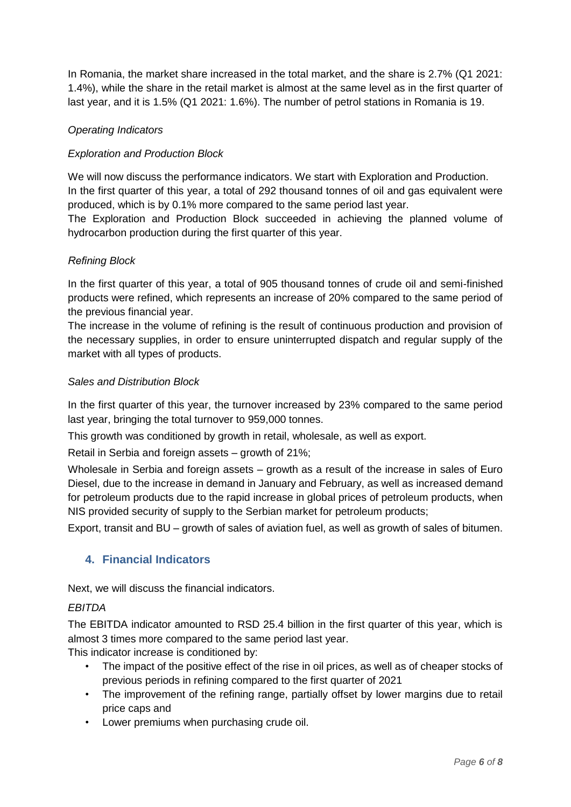In Romania, the market share increased in the total market, and the share is 2.7% (Q1 2021: 1.4%), while the share in the retail market is almost at the same level as in the first quarter of last year, and it is 1.5% (Q1 2021: 1.6%). The number of petrol stations in Romania is 19.

# *Operating Indicators*

# *Exploration and Production Block*

We will now discuss the performance indicators. We start with Exploration and Production. In the first quarter of this year, a total of 292 thousand tonnes of oil and gas equivalent were produced, which is by 0.1% more compared to the same period last year.

The Exploration and Production Block succeeded in achieving the planned volume of hydrocarbon production during the first quarter of this year.

# *Refining Block*

In the first quarter of this year, a total of 905 thousand tonnes of crude oil and semi-finished products were refined, which represents an increase of 20% compared to the same period of the previous financial year.

The increase in the volume of refining is the result of continuous production and provision of the necessary supplies, in order to ensure uninterrupted dispatch and regular supply of the market with all types of products.

# *Sales and Distribution Block*

In the first quarter of this year, the turnover increased by 23% compared to the same period last year, bringing the total turnover to 959,000 tonnes.

This growth was conditioned by growth in retail, wholesale, as well as export.

Retail in Serbia and foreign assets – growth of 21%;

Wholesale in Serbia and foreign assets – growth as a result of the increase in sales of Euro Diesel, due to the increase in demand in January and February, as well as increased demand for petroleum products due to the rapid increase in global prices of petroleum products, when NIS provided security of supply to the Serbian market for petroleum products;

Export, transit and BU – growth of sales of aviation fuel, as well as growth of sales of bitumen.

# <span id="page-5-0"></span>**4. Financial Indicators**

Next, we will discuss the financial indicators.

# *EBITDA*

The EBITDA indicator amounted to RSD 25.4 billion in the first quarter of this year, which is almost 3 times more compared to the same period last year.

This indicator increase is conditioned by:

- The impact of the positive effect of the rise in oil prices, as well as of cheaper stocks of previous periods in refining compared to the first quarter of 2021
- The improvement of the refining range, partially offset by lower margins due to retail price caps and
- Lower premiums when purchasing crude oil.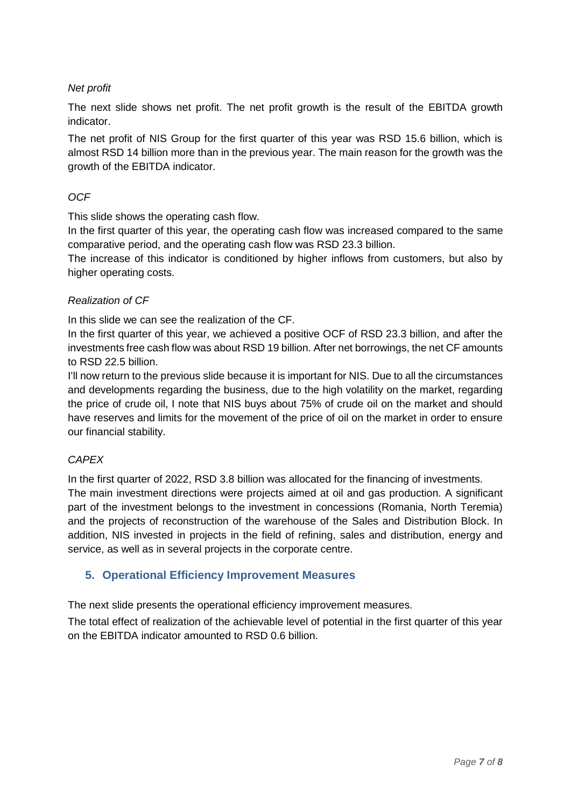# *Net profit*

The next slide shows net profit. The net profit growth is the result of the EBITDA growth indicator.

The net profit of NIS Group for the first quarter of this year was RSD 15.6 billion, which is almost RSD 14 billion more than in the previous year. The main reason for the growth was the growth of the EBITDA indicator.

## *OCF*

This slide shows the operating cash flow.

In the first quarter of this year, the operating cash flow was increased compared to the same comparative period, and the operating cash flow was RSD 23.3 billion.

The increase of this indicator is conditioned by higher inflows from customers, but also by higher operating costs.

### *Realization of CF*

In this slide we can see the realization of the CF.

In the first quarter of this year, we achieved a positive OCF of RSD 23.3 billion, and after the investments free cash flow was about RSD 19 billion. After net borrowings, the net CF amounts to RSD 22.5 billion.

I'll now return to the previous slide because it is important for NIS. Due to all the circumstances and developments regarding the business, due to the high volatility on the market, regarding the price of crude oil, I note that NIS buys about 75% of crude oil on the market and should have reserves and limits for the movement of the price of oil on the market in order to ensure our financial stability.

### *CAPEX*

In the first quarter of 2022, RSD 3.8 billion was allocated for the financing of investments.

The main investment directions were projects aimed at oil and gas production. A significant part of the investment belongs to the investment in concessions (Romania, North Teremia) and the projects of reconstruction of the warehouse of the Sales and Distribution Block. In addition, NIS invested in projects in the field of refining, sales and distribution, energy and service, as well as in several projects in the corporate centre.

### <span id="page-6-0"></span>**5. Operational Efficiency Improvement Measures**

The next slide presents the operational efficiency improvement measures.

The total effect of realization of the achievable level of potential in the first quarter of this year on the EBITDA indicator amounted to RSD 0.6 billion.